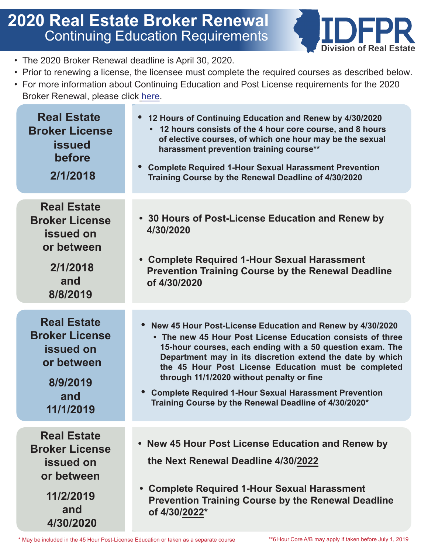## **2020 Real Estate Broker Renewal** Continuing Education Requirements



- The 2020 Broker Renewal deadline is April 30, 2020.
- Prior to renewing a license, the licensee must complete the required courses as described below.
- For more information about Continuing Education and Post License requirements for the 2020 Broker Renewal, please click [here](https://www.idfpr.com/Forms/DRE/Real%20Estate%20Broker%2075-Hour%20Pre-License%20Curriculum%20Final%20Jan%201%202020.pdf).

| <b>Real Estate</b><br><b>Broker License</b><br><b>issued</b><br>before<br>2/1/2018                             | 12 Hours of Continuing Education and Renew by 4/30/2020<br>• 12 hours consists of the 4 hour core course, and 8 hours<br>of elective courses, of which one hour may be the sexual<br>harassment prevention training course**<br><b>Complete Required 1-Hour Sexual Harassment Prevention</b><br>Training Course by the Renewal Deadline of 4/30/2020                                                                                                                            |
|----------------------------------------------------------------------------------------------------------------|---------------------------------------------------------------------------------------------------------------------------------------------------------------------------------------------------------------------------------------------------------------------------------------------------------------------------------------------------------------------------------------------------------------------------------------------------------------------------------|
| <b>Real Estate</b><br><b>Broker License</b><br><b>issued on</b><br>or between<br>2/1/2018<br>and<br>8/8/2019   | • 30 Hours of Post-License Education and Renew by<br>4/30/2020<br>• Complete Required 1-Hour Sexual Harassment<br><b>Prevention Training Course by the Renewal Deadline</b><br>of 4/30/2020                                                                                                                                                                                                                                                                                     |
| <b>Real Estate</b><br><b>Broker License</b><br><b>issued on</b><br>or between<br>8/9/2019<br>and<br>11/1/2019  | New 45 Hour Post-License Education and Renew by 4/30/2020<br>• The new 45 Hour Post License Education consists of three<br>15-hour courses, each ending with a 50 question exam. The<br>Department may in its discretion extend the date by which<br>the 45 Hour Post License Education must be completed<br>through 11/1/2020 without penalty or fine<br><b>Complete Required 1-Hour Sexual Harassment Prevention</b><br>Training Course by the Renewal Deadline of 4/30/2020* |
| <b>Real Estate</b><br><b>Broker License</b><br><b>issued on</b><br>or between<br>11/2/2019<br>and<br>4/30/2020 | • New 45 Hour Post License Education and Renew by<br>the Next Renewal Deadline 4/30/2022<br>• Complete Required 1-Hour Sexual Harassment<br><b>Prevention Training Course by the Renewal Deadline</b><br>of 4/30/2022*                                                                                                                                                                                                                                                          |